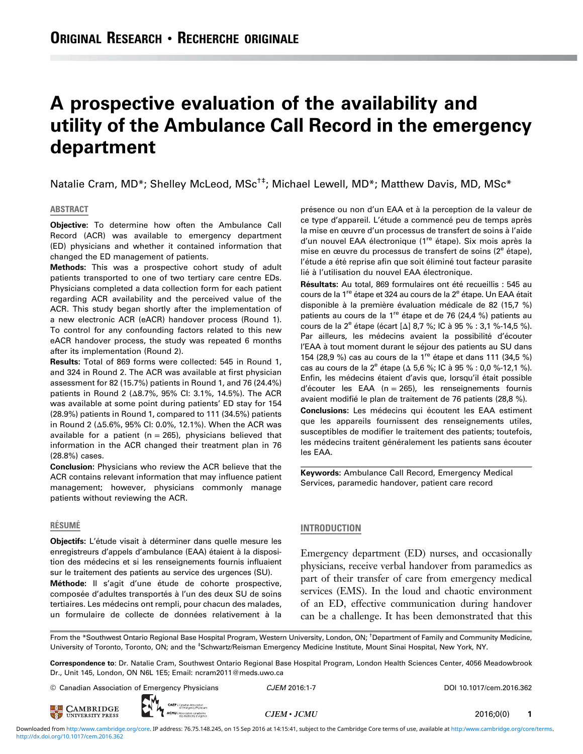# A prospective evaluation of the availability and utility of the Ambulance Call Record in the emergency department

Natalie Cram, MD\*; Shelley McLeod, MSc<sup>†‡</sup>; Michael Lewell, MD\*; Matthew Davis, MD, MSc\*

# ABSTRACT

Objective: To determine how often the Ambulance Call Record (ACR) was available to emergency department (ED) physicians and whether it contained information that changed the ED management of patients.

Methods: This was a prospective cohort study of adult patients transported to one of two tertiary care centre EDs. Physicians completed a data collection form for each patient regarding ACR availability and the perceived value of the ACR. This study began shortly after the implementation of a new electronic ACR (eACR) handover process (Round 1). To control for any confounding factors related to this new eACR handover process, the study was repeated 6 months after its implementation (Round 2).

Results: Total of 869 forms were collected: 545 in Round 1, and 324 in Round 2. The ACR was available at first physician assessment for 82 (15.7%) patients in Round 1, and 76 (24.4%) patients in Round 2 (Δ8.7%, 95% CI: 3.1%, 14.5%). The ACR was available at some point during patients' ED stay for 154 (28.9%) patients in Round 1, compared to 111 (34.5%) patients in Round 2 (Δ5.6%, 95% CI: 0.0%, 12.1%). When the ACR was available for a patient ( $n = 265$ ), physicians believed that information in the ACR changed their treatment plan in 76 (28.8%) cases.

Conclusion: Physicians who review the ACR believe that the ACR contains relevant information that may influence patient management; however, physicians commonly manage patients without reviewing the ACR.

#### RÉSUMÉ

Objectifs: L'étude visait à déterminer dans quelle mesure les enregistreurs d'appels d'ambulance (EAA) étaient à la disposition des médecins et si les renseignements fournis influaient sur le traitement des patients au service des urgences (SU).

Méthode: Il s'agit d'une étude de cohorte prospective, composée d'adultes transportés à l'un des deux SU de soins tertiaires. Les médecins ont rempli, pour chacun des malades, un formulaire de collecte de données relativement à la

présence ou non d'un EAA et à la perception de la valeur de ce type d'appareil. L'étude a commencé peu de temps après la mise en œuvre d'un processus de transfert de soins à l'aide d'un nouvel EAA électronique (1<sup>re</sup> étape). Six mois après la mise en œuvre du processus de transfert de soins (2<sup>e</sup> étape), l'étude a été reprise afin que soit éliminé tout facteur parasite lié à l'utilisation du nouvel EAA électronique.

Résultats: Au total, 869 formulaires ont été recueillis : 545 au cours de la 1<sup>re</sup> étape et 324 au cours de la 2<sup>e</sup> étape. Un EAA était disponible à la première évaluation médicale de 82 (15,7 %) patients au cours de la 1<sup>re</sup> étape et de 76 (24,4 %) patients au cours de la  $2^e$  étape (écart [ $\Delta$ ] 8,7 %; IC à 95 % : 3,1 %-14,5 %). Par ailleurs, les médecins avaient la possibilité d'écouter l'EAA à tout moment durant le séjour des patients au SU dans 154 (28,9 %) cas au cours de la 1re étape et dans 111 (34,5 %) cas au cours de la  $2^e$  étape ( $\Delta$  5,6 %; IC à 95 % : 0,0 %-12,1 %). Enfin, les médecins étaient d'avis que, lorsqu'il était possible d'écouter les EAA (n = 265), les renseignements fournis avaient modifié le plan de traitement de 76 patients (28,8 %). Conclusions: Les médecins qui écoutent les EAA estiment que les appareils fournissent des renseignements utiles, susceptibles de modifier le traitement des patients; toutefois, les médecins traitent généralement les patients sans écouter les EAA.

Keywords: Ambulance Call Record, Emergency Medical Services, paramedic handover, patient care record

# INTRODUCTION

Emergency department (ED) nurses, and occasionally physicians, receive verbal handover from paramedics as part of their transfer of care from emergency medical services (EMS). In the loud and chaotic environment of an ED, effective communication during handover can be a challenge. It has been demonstrated that this

From the \*Southwest Ontario Regional Base Hospital Program, Western University, London, ON; † Department of Family and Community Medicine, University of Toronto, Toronto, ON; and the <sup>‡</sup>Schwartz/Reisman Emergency Medicine Institute, Mount Sinai Hospital, New York, NY.

Correspondence to: Dr. Natalie Cram, Southwest Ontario Regional Base Hospital Program, London Health Sciences Center, 4056 Meadowbrook Dr., Unit 145, London, ON N6L 1E5; Email: ncram2011@meds.uwo.ca

© Canadian Association of Emergency Physicians CJEM 2016:1-7 CHEM 2016:1-7 DOI 10.1017/cem.2016.362

**EXECUTE CAMBRIDGE** 



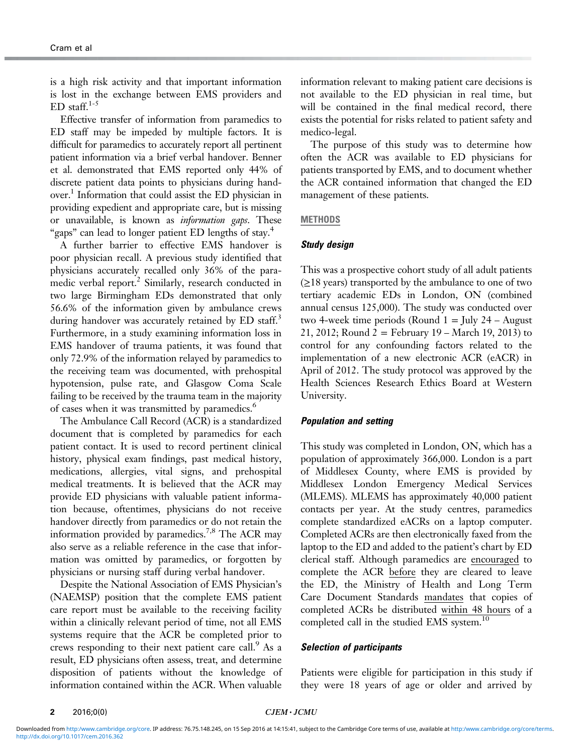is a high risk activity and that important information is lost in the exchange between EMS providers and ED staff. $1-5$ 

Effective transfer of information from paramedics to ED staff may be impeded by multiple factors. It is difficult for paramedics to accurately report all pertinent patient information via a brief verbal handover. Benner et al. demonstrated that EMS reported only 44% of discrete patient data points to physicians during handover[.1](#page-6-0) Information that could assist the ED physician in providing expedient and appropriate care, but is missing or unavailable, is known as *information gaps*. These "gaps" can lead to longer patient ED lengths of stay.<sup>[4](#page-6-0)</sup>

A further barrier to effective EMS handover is poor physician recall. A previous study identified that physicians accurately recalled only 36% of the para-medic verbal report.<sup>[2](#page-6-0)</sup> Similarly, research conducted in two large Birmingham EDs demonstrated that only 56.6% of the information given by ambulance crews during handover was accurately retained by ED staff.<sup>[3](#page-6-0)</sup> Furthermore, in a study examining information loss in EMS handover of trauma patients, it was found that only 72.9% of the information relayed by paramedics to the receiving team was documented, with prehospital hypotension, pulse rate, and Glasgow Coma Scale failing to be received by the trauma team in the majority of cases when it was transmitted by paramedics.<sup>6</sup>

The Ambulance Call Record (ACR) is a standardized document that is completed by paramedics for each patient contact. It is used to record pertinent clinical history, physical exam findings, past medical history, medications, allergies, vital signs, and prehospital medical treatments. It is believed that the ACR may provide ED physicians with valuable patient information because, oftentimes, physicians do not receive handover directly from paramedics or do not retain the information provided by paramedics.<sup>7,8</sup> The ACR may also serve as a reliable reference in the case that information was omitted by paramedics, or forgotten by physicians or nursing staff during verbal handover.

Despite the National Association of EMS Physician's (NAEMSP) position that the complete EMS patient care report must be available to the receiving facility within a clinically relevant period of time, not all EMS systems require that the ACR be completed prior to crews responding to their next patient care call. $\degree$  As a result, ED physicians often assess, treat, and determine disposition of patients without the knowledge of information contained within the ACR. When valuable information relevant to making patient care decisions is not available to the ED physician in real time, but will be contained in the final medical record, there exists the potential for risks related to patient safety and medico-legal.

The purpose of this study was to determine how often the ACR was available to ED physicians for patients transported by EMS, and to document whether the ACR contained information that changed the ED management of these patients.

# **METHODS**

# Study design

This was a prospective cohort study of all adult patients (≥18 years) transported by the ambulance to one of two tertiary academic EDs in London, ON (combined annual census 125,000). The study was conducted over two 4-week time periods (Round  $1 =$  July 24 – August 21, 2012; Round  $2 =$  February 19 – March 19, 2013) to control for any confounding factors related to the implementation of a new electronic ACR (eACR) in April of 2012. The study protocol was approved by the Health Sciences Research Ethics Board at Western University.

## Population and setting

This study was completed in London, ON, which has a population of approximately 366,000. London is a part of Middlesex County, where EMS is provided by Middlesex London Emergency Medical Services (MLEMS). MLEMS has approximately 40,000 patient contacts per year. At the study centres, paramedics complete standardized eACRs on a laptop computer. Completed ACRs are then electronically faxed from the laptop to the ED and added to the patient's chart by ED clerical staff. Although paramedics are encouraged to complete the ACR before they are cleared to leave the ED, the Ministry of Health and Long Term Care Document Standards mandates that copies of completed ACRs be distributed within 48 hours of a completed call in the studied EMS system.<sup>10</sup>

# Selection of participants

Patients were eligible for participation in this study if they were 18 years of age or older and arrived by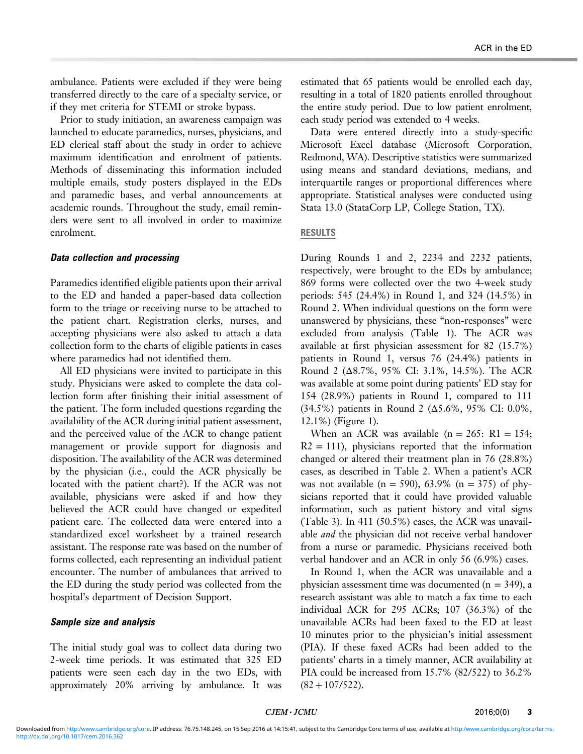ambulance. Patients were excluded if they were being transferred directly to the care of a specialty service, or if they met criteria for STEMI or stroke bypass.

Prior to study initiation, an awareness campaign was launched to educate paramedics, nurses, physicians, and ED clerical staff about the study in order to achieve maximum identification and enrolment of patients. Methods of disseminating this information included multiple emails, study posters displayed in the EDs and paramedic bases, and verbal announcements at academic rounds. Throughout the study, email reminders were sent to all involved in order to maximize enrolment.

# Data collection and processing

Paramedics identified eligible patients upon their arrival to the ED and handed a paper-based data collection form to the triage or receiving nurse to be attached to the patient chart. Registration clerks, nurses, and accepting physicians were also asked to attach a data collection form to the charts of eligible patients in cases where paramedics had not identified them.

All ED physicians were invited to participate in this study. Physicians were asked to complete the data collection form after finishing their initial assessment of the patient. The form included questions regarding the availability of the ACR during initial patient assessment, and the perceived value of the ACR to change patient management or provide support for diagnosis and disposition. The availability of the ACR was determined by the physician (i.e., could the ACR physically be located with the patient chart?). If the ACR was not available, physicians were asked if and how they believed the ACR could have changed or expedited patient care. The collected data were entered into a standardized excel worksheet by a trained research assistant. The response rate was based on the number of forms collected, each representing an individual patient encounter. The number of ambulances that arrived to the ED during the study period was collected from the hospital's department of Decision Support.

# Sample size and analysis

The initial study goal was to collect data during two 2-week time periods. It was estimated that 325 ED patients were seen each day in the two EDs, with approximately 20% arriving by ambulance. It was estimated that 65 patients would be enrolled each day, resulting in a total of 1820 patients enrolled throughout the entire study period. Due to low patient enrolment, each study period was extended to 4 weeks.

Data were entered directly into a study-specific Microsoft Excel database (Microsoft Corporation, Redmond, WA). Descriptive statistics were summarized using means and standard deviations, medians, and interquartile ranges or proportional differences where appropriate. Statistical analyses were conducted using Stata 13.0 (StataCorp LP, College Station, TX).

# RESULTS

During Rounds 1 and 2, 2234 and 2232 patients, respectively, were brought to the EDs by ambulance; 869 forms were collected over the two 4-week study periods: 545 (24.4%) in Round 1, and 324 (14.5%) in Round 2. When individual questions on the form were unanswered by physicians, these "non-responses" were excluded from analysis ([Table 1\)](#page-3-0). The ACR was available at first physician assessment for 82 (15.7%) patients in Round 1, versus 76 (24.4%) patients in Round 2 (Δ8.7%, 95% CI: 3.1%, 14.5%). The ACR was available at some point during patients' ED stay for 154 (28.9%) patients in Round 1, compared to 111 (34.5%) patients in Round 2 (Δ5.6%, 95% CI: 0.0%, 12.1%) [\(Figure 1\)](#page-3-0).

When an ACR was available  $(n = 265: R1 = 154;$  $R2 = 111$ , physicians reported that the information changed or altered their treatment plan in 76 (28.8%) cases, as described in [Table 2](#page-3-0). When a patient's ACR was not available (n = 590), 63.9% (n = 375) of physicians reported that it could have provided valuable information, such as patient history and vital signs [\(Table 3\)](#page-4-0). In 411 (50.5%) cases, the ACR was unavailable *and* the physician did not receive verbal handover from a nurse or paramedic. Physicians received both verbal handover and an ACR in only 56 (6.9%) cases.

In Round 1, when the ACR was unavailable and a physician assessment time was documented  $(n = 349)$ , a research assistant was able to match a fax time to each individual ACR for 295 ACRs; 107 (36.3%) of the unavailable ACRs had been faxed to the ED at least 10 minutes prior to the physician's initial assessment (PIA). If these faxed ACRs had been added to the patients' charts in a timely manner, ACR availability at PIA could be increased from 15.7% (82/522) to 36.2%  $(82+107/522)$ .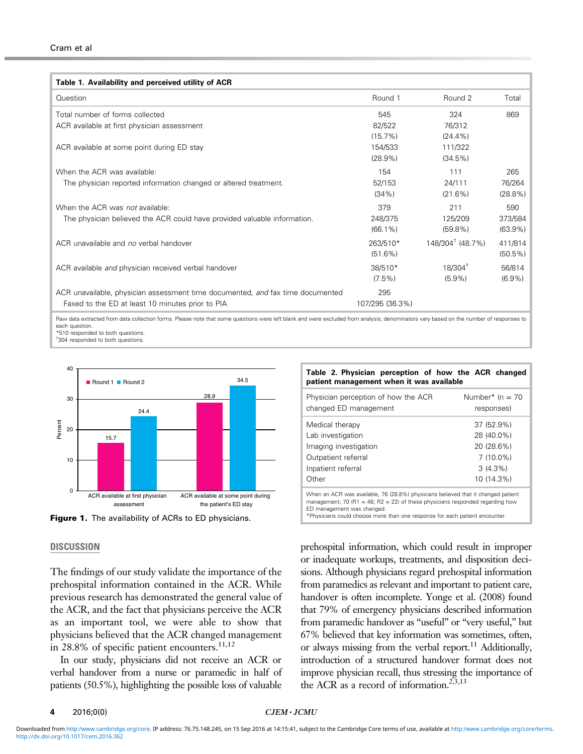<span id="page-3-0"></span>

| Table 1. Availability and perceived utility of ACR                             |                 |                              |            |
|--------------------------------------------------------------------------------|-----------------|------------------------------|------------|
| Question                                                                       | Round 1         | Round 2                      | Total      |
| Total number of forms collected                                                | 545             | 324                          | 869        |
| ACR available at first physician assessment                                    | 82/522          | 76/312                       |            |
|                                                                                | $(15.7\%)$      | $(24.4\%)$                   |            |
| ACR available at some point during ED stay                                     | 154/533         | 111/322                      |            |
|                                                                                | $(28.9\%)$      | $(34.5\%)$                   |            |
| When the ACR was available:                                                    | 154             | 111                          | 265        |
| The physician reported information changed or altered treatment.               | 52/153          | 24/111                       | 76/264     |
|                                                                                | $(34\%)$        | $(21.6\%)$                   | $(28.8\%)$ |
| When the ACR was not available:                                                | 379             | 211                          | 590        |
| The physician believed the ACR could have provided valuable information.       | 248/375         | 125/209                      | 373/584    |
|                                                                                | $(66.1\%)$      | $(59.8\%)$                   | $(63.9\%)$ |
| ACR unavailable and no verbal handover                                         | 263/510*        | 148/304 <sup>†</sup> (48.7%) | 411/814    |
|                                                                                | $(51.6\%)$      |                              | $(50.5\%)$ |
| ACR available and physician received verbal handover                           | 38/510*         | $18/304^{\dagger}$           | 56/814     |
|                                                                                | $(7.5\%)$       | $(5.9\%)$                    | $(6.9\%)$  |
| ACR unavailable, physician assessment time documented, and fax time documented | 295             |                              |            |
| Faxed to the ED at least 10 minutes prior to PIA                               | 107/295 (36.3%) |                              |            |

Raw data extracted from data collection forms. Please note that some questions were left blank and were excluded from analysis; denominators vary based on the number of responses to each question. \*510 responded to both questions.

† 304 responded to both questions.





# **DISCUSSION**

The findings of our study validate the importance of the prehospital information contained in the ACR. While previous research has demonstrated the general value of the ACR, and the fact that physicians perceive the ACR as an important tool, we were able to show that physicians believed that the ACR changed management in 28.8% of specific patient encounters.<sup>11,12</sup>

In our study, physicians did not receive an ACR or verbal handover from a nurse or paramedic in half of patients (50.5%), highlighting the possible loss of valuable

| $1000$ E. Informal polyophon of now the front changed<br>patient management when it was available                                                                                                |                               |  |  |
|--------------------------------------------------------------------------------------------------------------------------------------------------------------------------------------------------|-------------------------------|--|--|
| Physician perception of how the ACR<br>changed ED management                                                                                                                                     | Number* (n = 70<br>responses) |  |  |
| Medical therapy<br>Lab investigation                                                                                                                                                             | 37 (52.9%)<br>28 (40.0%)      |  |  |
| Imaging investigation                                                                                                                                                                            | 20 (28.6%)                    |  |  |
| Outpatient referral<br>Inpatient referral                                                                                                                                                        | $7(10.0\%)$<br>$3(4.3\%)$     |  |  |
| Other                                                                                                                                                                                            | 10 (14.3%)                    |  |  |
| When an ACR was available, 76 (28.8%) physicians believed that it changed patient<br>management; 70 (R1 = 48; R2 = 22) of these physicians responded regarding how<br>ED management was changed. |                               |  |  |

Table 2. Physician perception of how the ACR changed

\*Physicians could choose more than one response for each patient encounter.

prehospital information, which could result in improper or inadequate workups, treatments, and disposition decisions. Although physicians regard prehospital information from paramedics as relevant and important to patient care, handover is often incomplete. Yonge et al. (2008) found that 79% of emergency physicians described information from paramedic handover as "useful" or "very useful," but 67% believed that key information was sometimes, often, or always missing from the verbal report.<sup>[11](#page-6-0)</sup> Additionally, introduction of a structured handover format does not improve physician recall, thus stressing the importance of the ACR as a record of information.<sup>[2,3,13](#page-6-0)</sup>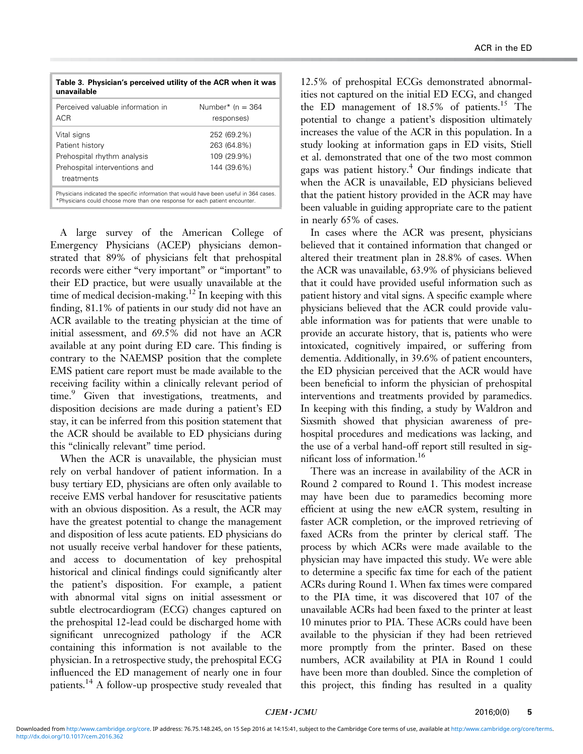<span id="page-4-0"></span>

| Table 3. Physician's perceived utility of the ACR when it was<br>unavailable                                                                                           |                                                          |  |
|------------------------------------------------------------------------------------------------------------------------------------------------------------------------|----------------------------------------------------------|--|
| Perceived valuable information in<br>AC <sub>R</sub>                                                                                                                   | Number* (n = $364$ )<br>responses)                       |  |
| Vital signs<br>Patient history<br>Prehospital rhythm analysis<br>Prehospital interventions and<br>treatments                                                           | 252 (69.2%)<br>263 (64.8%)<br>109 (29.9%)<br>144 (39.6%) |  |
| Physicians indicated the specific information that would have been useful in 364 cases.<br>*Physicians could choose more than one response for each patient encounter. |                                                          |  |

A large survey of the American College of Emergency Physicians (ACEP) physicians demonstrated that 89% of physicians felt that prehospital records were either "very important" or "important" to their ED practice, but were usually unavailable at the time of medical decision-making.<sup>[12](#page-6-0)</sup> In keeping with this finding, 81.1% of patients in our study did not have an ACR available to the treating physician at the time of initial assessment, and 69.5% did not have an ACR available at any point during ED care. This finding is contrary to the NAEMSP position that the complete EMS patient care report must be made available to the receiving facility within a clinically relevant period of time.<sup>[9](#page-6-0)</sup> Given that investigations, treatments, and disposition decisions are made during a patient's ED stay, it can be inferred from this position statement that the ACR should be available to ED physicians during this "clinically relevant" time period.

When the ACR is unavailable, the physician must rely on verbal handover of patient information. In a busy tertiary ED, physicians are often only available to receive EMS verbal handover for resuscitative patients with an obvious disposition. As a result, the ACR may have the greatest potential to change the management and disposition of less acute patients. ED physicians do not usually receive verbal handover for these patients, and access to documentation of key prehospital historical and clinical findings could significantly alter the patient's disposition. For example, a patient with abnormal vital signs on initial assessment or subtle electrocardiogram (ECG) changes captured on the prehospital 12-lead could be discharged home with significant unrecognized pathology if the ACR containing this information is not available to the physician. In a retrospective study, the prehospital ECG influenced the ED management of nearly one in four patients.<sup>[14](#page-6-0)</sup> A follow-up prospective study revealed that 12.5% of prehospital ECGs demonstrated abnormalities not captured on the initial ED ECG, and changed the ED management of  $18.5\%$  of patients.<sup>[15](#page-6-0)</sup> The potential to change a patient's disposition ultimately increases the value of the ACR in this population. In a study looking at information gaps in ED visits, Stiell et al. demonstrated that one of the two most common gaps was patient history. $4$  Our findings indicate that when the ACR is unavailable, ED physicians believed that the patient history provided in the ACR may have been valuable in guiding appropriate care to the patient in nearly 65% of cases.

In cases where the ACR was present, physicians believed that it contained information that changed or altered their treatment plan in 28.8% of cases. When the ACR was unavailable, 63.9% of physicians believed that it could have provided useful information such as patient history and vital signs. A specific example where physicians believed that the ACR could provide valuable information was for patients that were unable to provide an accurate history, that is, patients who were intoxicated, cognitively impaired, or suffering from dementia. Additionally, in 39.6% of patient encounters, the ED physician perceived that the ACR would have been beneficial to inform the physician of prehospital interventions and treatments provided by paramedics. In keeping with this finding, a study by Waldron and Sixsmith showed that physician awareness of prehospital procedures and medications was lacking, and the use of a verbal hand-off report still resulted in significant loss of information.[16](#page-6-0)

There was an increase in availability of the ACR in Round 2 compared to Round 1. This modest increase may have been due to paramedics becoming more efficient at using the new eACR system, resulting in faster ACR completion, or the improved retrieving of faxed ACRs from the printer by clerical staff. The process by which ACRs were made available to the physician may have impacted this study. We were able to determine a specific fax time for each of the patient ACRs during Round 1. When fax times were compared to the PIA time, it was discovered that 107 of the unavailable ACRs had been faxed to the printer at least 10 minutes prior to PIA. These ACRs could have been available to the physician if they had been retrieved more promptly from the printer. Based on these numbers, ACR availability at PIA in Round 1 could have been more than doubled. Since the completion of this project, this finding has resulted in a quality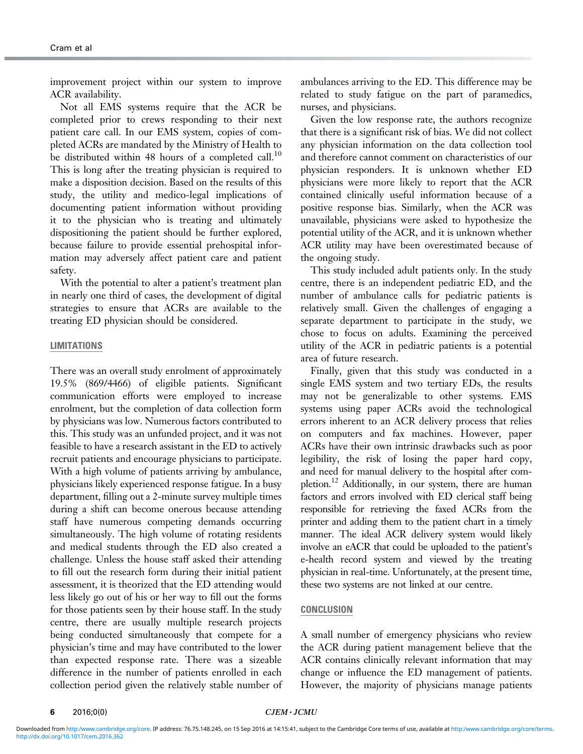improvement project within our system to improve ACR availability.

Not all EMS systems require that the ACR be completed prior to crews responding to their next patient care call. In our EMS system, copies of completed ACRs are mandated by the Ministry of Health to be distributed within 48 hours of a completed call.<sup>[10](#page-6-0)</sup> This is long after the treating physician is required to make a disposition decision. Based on the results of this study, the utility and medico-legal implications of documenting patient information without providing it to the physician who is treating and ultimately dispositioning the patient should be further explored, because failure to provide essential prehospital information may adversely affect patient care and patient safety.

With the potential to alter a patient's treatment plan in nearly one third of cases, the development of digital strategies to ensure that ACRs are available to the treating ED physician should be considered.

# LIMITATIONS

There was an overall study enrolment of approximately 19.5% (869/4466) of eligible patients. Significant communication efforts were employed to increase enrolment, but the completion of data collection form by physicians was low. Numerous factors contributed to this. This study was an unfunded project, and it was not feasible to have a research assistant in the ED to actively recruit patients and encourage physicians to participate. With a high volume of patients arriving by ambulance, physicians likely experienced response fatigue. In a busy department, filling out a 2-minute survey multiple times during a shift can become onerous because attending staff have numerous competing demands occurring simultaneously. The high volume of rotating residents and medical students through the ED also created a challenge. Unless the house staff asked their attending to fill out the research form during their initial patient assessment, it is theorized that the ED attending would less likely go out of his or her way to fill out the forms for those patients seen by their house staff. In the study centre, there are usually multiple research projects being conducted simultaneously that compete for a physician's time and may have contributed to the lower than expected response rate. There was a sizeable difference in the number of patients enrolled in each collection period given the relatively stable number of ambulances arriving to the ED. This difference may be related to study fatigue on the part of paramedics, nurses, and physicians.

Given the low response rate, the authors recognize that there is a significant risk of bias. We did not collect any physician information on the data collection tool and therefore cannot comment on characteristics of our physician responders. It is unknown whether ED physicians were more likely to report that the ACR contained clinically useful information because of a positive response bias. Similarly, when the ACR was unavailable, physicians were asked to hypothesize the potential utility of the ACR, and it is unknown whether ACR utility may have been overestimated because of the ongoing study.

This study included adult patients only. In the study centre, there is an independent pediatric ED, and the number of ambulance calls for pediatric patients is relatively small. Given the challenges of engaging a separate department to participate in the study, we chose to focus on adults. Examining the perceived utility of the ACR in pediatric patients is a potential area of future research.

Finally, given that this study was conducted in a single EMS system and two tertiary EDs, the results may not be generalizable to other systems. EMS systems using paper ACRs avoid the technological errors inherent to an ACR delivery process that relies on computers and fax machines. However, paper ACRs have their own intrinsic drawbacks such as poor legibility, the risk of losing the paper hard copy, and need for manual delivery to the hospital after completion.<sup>12</sup> Additionally, in our system, there are human factors and errors involved with ED clerical staff being responsible for retrieving the faxed ACRs from the printer and adding them to the patient chart in a timely manner. The ideal ACR delivery system would likely involve an eACR that could be uploaded to the patient's e-health record system and viewed by the treating physician in real-time. Unfortunately, at the present time, these two systems are not linked at our centre.

# **CONCLUSION**

A small number of emergency physicians who review the ACR during patient management believe that the ACR contains clinically relevant information that may change or influence the ED management of patients. However, the majority of physicians manage patients

6  $2016;0(0)$   $CIEM \cdot JCMU$